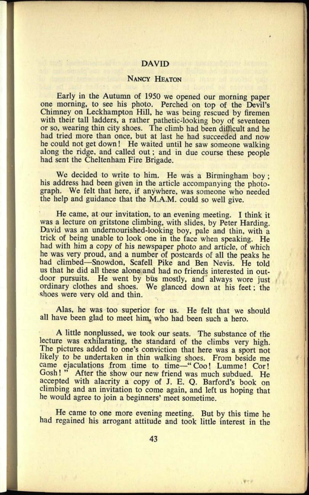### DAVID

## NANCY HEATON

Early in the Autumn of 1950 we opened our morning paper one morning, to see his photo. Perched on top of the Devil's Chimney on Leckhampton Hill, he was being rescued by firemen with their tall ladders, a rather pathetic-looking boy of seventeen or so, wearing thin city shoes. The climb had been difficult and he had tried more than once, but at last he had succeeded and now he could not get down! He waited until he saw someone walking along the ridge, and called out; and in due course these people had sent the Cheltenham Fire Brigade.

We decided to write to him. He was a Birmingham boy; his address had been given in the article accompanying the photograph. We felt that here, if anywhere, was someone who needed the help and guidance that the M.A.M. could so well give.

He came, at our invitation, to an evening meeting. I think it was a lecture on gritstone climbing, with slides, by Peter Harding. David was an undernourished-looking boy, pale and thin, with <sup>a</sup> trick of being unable to look one in the face when speaking. He had with him a copy of his newspaper photo and article, of which he was very proud, and a number of postcards of all the peaks he had climbed-Snowdon, Scafell Pike and Ben Nevis. He told us that he did all these alone and had no friends interested in outdoor pursuits. He went by bus mostly, and always wore just ordinary clothes and shoes. We glanced down at his feet; the shoes were very old and thin.

Alas, he was too superior for us. He felt that we should all have been glad to meet him, who had been such a hero.

A little nonplussed, we took our seats. The substance of the lecture was exhilarating, the standard of the climbs very high. The pictures added to one's conviction that here was a sport not likely to be undertaken in thin walking shoes. From beside me came ejaculations from time to time—" Coo! Lumme! Cor!<br>Gosh!" After the show our new friend was much subdued. He After the show our new friend was much subdued. He accepted with alacrity a copy of J. E. Q. Barford's book on climbing and an invitation to come again, and left us hoping that he would agree to join a beginners' meet sometime.

He came to one more evening meeting. But by this time he had regained his arrogant attitude and took little interest in the

. We e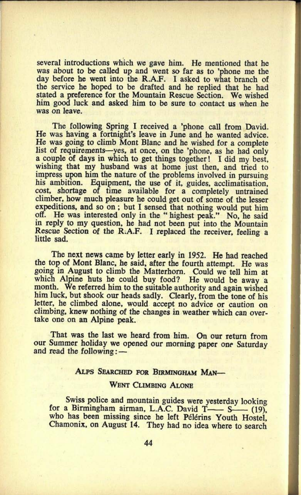several introductions which we gave him. He mentioned that he was about to be called up and went so far as to 'phone me the day before he went into the R.A.F. I asked to what branch of the service he hoped to be drafted and he replied that he had stated a preference for the Mountain Rescue Section. We wished him good luck and asked him to be sure to contact us when he was on leave.

The following Spring I received a 'phone call from David. He was having a fortnight's leave in June and he wanted advice. He was going to climb Mont Blanc and he wished for a complete list of requirements-yes, at once, on the 'phone, as he had only a couple of days in which to get things together! I did my best, wishing that my husband was at home just then, and tried to impress upon him the nature of the problems involved in pursuing his ambition. Equipment, the use of it, guides, acclimatisation, cost, shortage of time available for a completely untrained climber, how much pleasure he could get out of some of the lesser expeditions, and so on ; but I sensed that nothing would put him off. He was interested only in the " highest peak." No, he said in reply to my question, he had not been put into the Mountain Rescue Section of the R.A.F. I replaced the receiver, feeling <sup>a</sup> little sad.

The next news came by letter early in 1952. He had reached the top of Mont Blanc, he said, after the fourth attempt. He was going in August to climb the Matterhorn. Could we tell him at which Alpine huts he could buy food? He would be away a month. We referred him to the suitable authority and again wished him luck, but shook our heads sadly. Clearly, from the tone of his letter, he climbed alone, would accept no advice or caution on climbing, knew nothing of the changes in weather which can overtake one on an Alpine peak.

That was the last we heard from him. On our return from our Summer holiday we opened our morning paper one Saturday and read the following:

#### ALPS SEARCHED FOR BIRMINGHAM MAN-

#### WENT CLIMBING ALONE

Swiss police and mountain guides were yesterday looking for a Birmingham airman, L.A.C. David  $T$ — $S$ — (19), who has been missing since he left Pélérins Youth Hostel. Chamonix, on August 14. They had no idea where to search